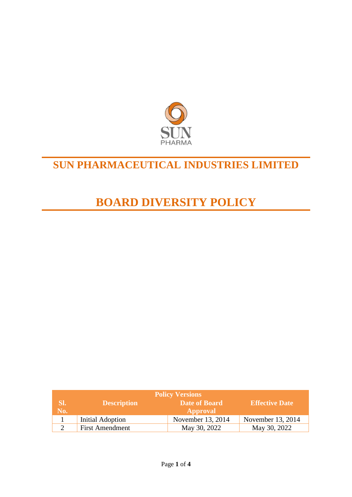

# **SUN PHARMACEUTICAL INDUSTRIES LIMITED**

## **BOARD DIVERSITY POLICY**

| <b>Policy Versions</b> |                        |                   |                       |  |
|------------------------|------------------------|-------------------|-----------------------|--|
| SI.                    | <b>Description</b>     | Date of Board     | <b>Effective Date</b> |  |
| No.                    |                        | <b>Approval</b>   |                       |  |
|                        | Initial Adoption       | November 13, 2014 | November 13, 2014     |  |
|                        | <b>First Amendment</b> | May 30, 2022      | May 30, 2022          |  |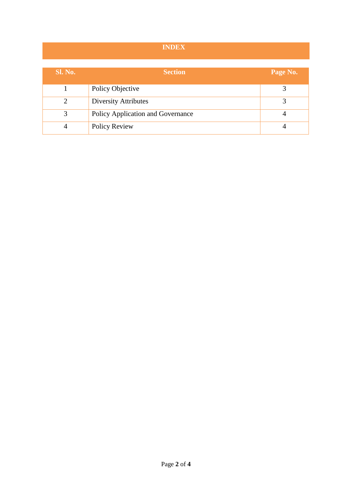### **INDEX**

| <b>Sl. No.</b> | <b>Section</b>                    | Page No. |
|----------------|-----------------------------------|----------|
|                | Policy Objective                  |          |
| $\overline{2}$ | <b>Diversity Attributes</b>       | 3        |
| 3              | Policy Application and Governance |          |
| 4              | <b>Policy Review</b>              |          |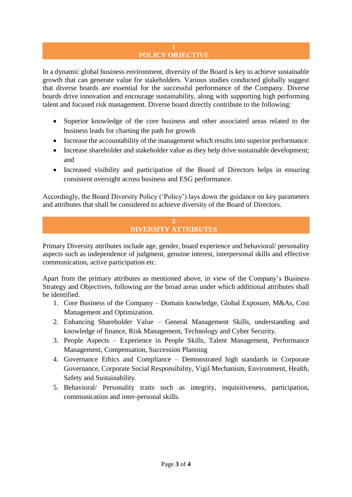## **POLICY OBJECTIVE**

In a dynamic global business environment, diversity of the Board is key to achieve sustainable growth that can generate value for stakeholders. Various studies conducted globally suggest that diverse boards are essential for the successful performance of the Company. Diverse boards drive innovation and encourage sustainability, along with supporting high performing talent and focused risk management. Diverse board directly contribute to the following:

- Superior knowledge of the core business and other associated areas related to the business leads for charting the path for growth
- Increase the accountability of the management which results into superior performance.
- Increase shareholder and stakeholder value as they help drive sustainable development; and
- Increased visibility and participation of the Board of Directors helps in ensuring consistent oversight across business and ESG performance.

Accordingly, the Board Diversity Policy ('Policy') lays down the guidance on key parameters and attributes that shall be considered to achieve diversity of the Board of Directors.

### **2 DIVERSITY ATTRIBUTES**

Primary Diversity attributes include age, gender, board experience and behavioral/ personality aspects such as independence of judgment, genuine interest, interpersonal skills and effective communication, active participation etc.

Apart from the primary attributes as mentioned above, in view of the Company's Business Strategy and Objectives, following are the broad areas under which additional attributes shall be identified.

- 1. Core Business of the Company Domain knowledge, Global Exposure, M&As, Cost Management and Optimization.
- 2. Enhancing Shareholder Value General Management Skills, understanding and knowledge of finance, Risk Management, Technology and Cyber Security.
- 3. People Aspects Experience in People Skills, Talent Management, Performance Management, Compensation, Succession Planning
- 4. Governance Ethics and Compliance Demonstrated high standards in Corporate Governance, Corporate Social Responsibility, Vigil Mechanism, Environment, Health, Safety and Sustainability.
- 5. Behavioral/ Personality traits such as integrity, inquisitiveness, participation, communication and inter-personal skills.